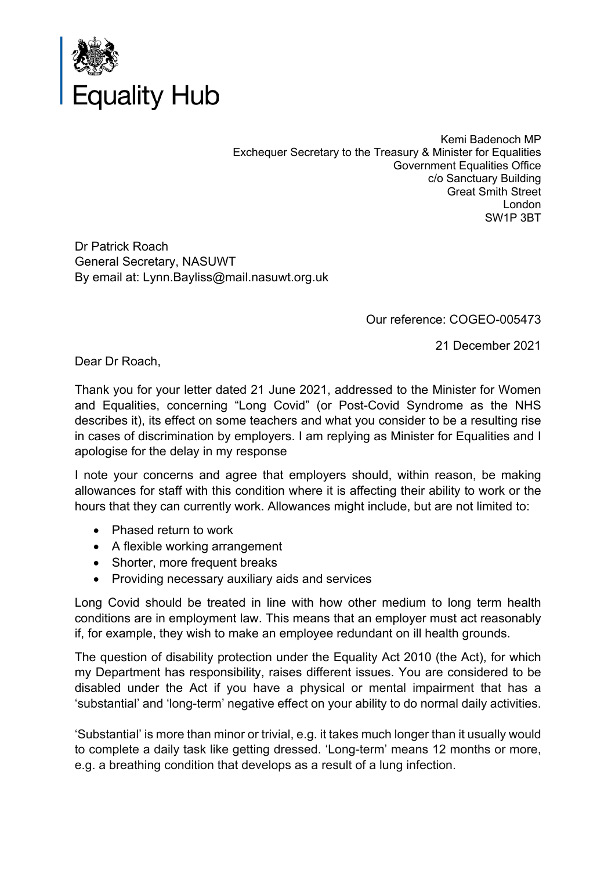

Kemi Badenoch MP Exchequer Secretary to the Treasury & Minister for Equalities Government Equalities Office c/o Sanctuary Building Great Smith Street London SW1P 3BT

Dr Patrick Roach General Secretary, NASUWT By email at: Lynn.Bayliss@mail.nasuwt.org.uk

Our reference: COGEO-005473

21 December 2021

Dear Dr Roach,

Thank you for your letter dated 21 June 2021, addressed to the Minister for Women and Equalities, concerning "Long Covid" (or Post-Covid Syndrome as the NHS describes it), its effect on some teachers and what you consider to be a resulting rise in cases of discrimination by employers. I am replying as Minister for Equalities and I apologise for the delay in my response

I note your concerns and agree that employers should, within reason, be making allowances for staff with this condition where it is affecting their ability to work or the hours that they can currently work. Allowances might include, but are not limited to:

- Phased return to work
- A flexible working arrangement
- Shorter, more frequent breaks
- Providing necessary auxiliary aids and services

Long Covid should be treated in line with how other medium to long term health conditions are in employment law. This means that an employer must act reasonably if, for example, they wish to make an employee redundant on ill health grounds.

The question of disability protection under the Equality Act 2010 (the Act), for which my Department has responsibility, raises different issues. You are considered to be disabled under the Act if you have a physical or mental impairment that has a 'substantial' and 'long-term' negative effect on your ability to do normal daily activities.

'Substantial' is more than minor or trivial, e.g. it takes much longer than it usually would to complete a daily task like getting dressed. 'Long-term' means 12 months or more, e.g. a breathing condition that develops as a result of a lung infection.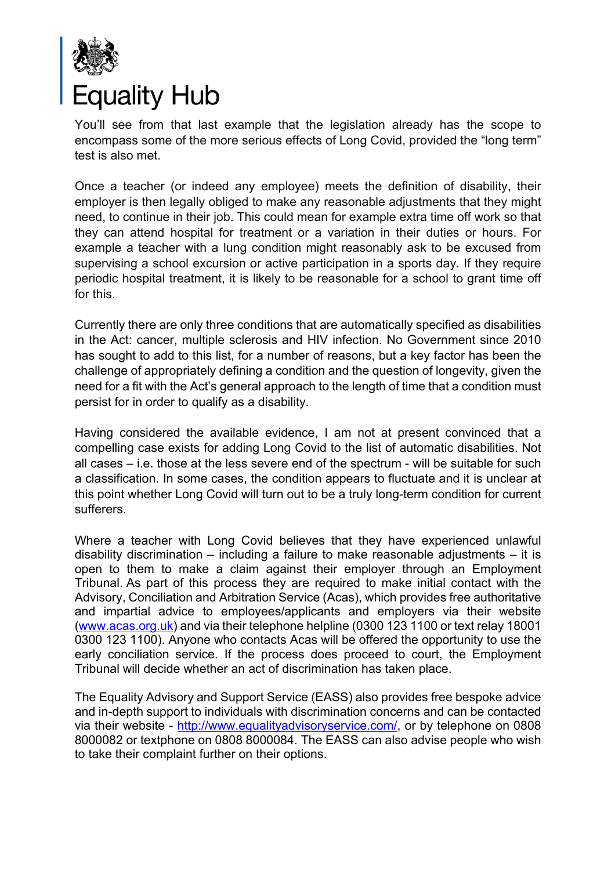

You'll see from that last example that the legislation already has the scope to encompass some of the more serious effects of Long Covid, provided the "long term" test is also met.

Once a teacher (or indeed any employee) meets the definition of disability, their employer is then legally obliged to make any reasonable adjustments that they might need, to continue in their job. This could mean for example extra time off work so that they can attend hospital for treatment or a variation in their duties or hours. For example a teacher with a lung condition might reasonably ask to be excused from supervising a school excursion or active participation in a sports day. If they require periodic hospital treatment, it is likely to be reasonable for a school to grant time off for this.

Currently there are only three conditions that are automatically specified as disabilities in the Act: cancer, multiple sclerosis and HIV infection. No Government since 2010 has sought to add to this list, for a number of reasons, but a key factor has been the challenge of appropriately defining a condition and the question of longevity, given the need for a fit with the Act's general approach to the length of time that a condition must persist for in order to qualify as a disability.

Having considered the available evidence, I am not at present convinced that a compelling case exists for adding Long Covid to the list of automatic disabilities. Not all cases – i.e. those at the less severe end of the spectrum - will be suitable for such a classification. In some cases, the condition appears to fluctuate and it is unclear at this point whether Long Covid will turn out to be a truly long-term condition for current sufferers.

Where a teacher with Long Covid believes that they have experienced unlawful disability discrimination – including a failure to make reasonable adjustments – it is open to them to make a claim against their employer through an Employment Tribunal. As part of this process they are required to make initial contact with the Advisory, Conciliation and Arbitration Service (Acas), which provides free authoritative and impartial advice to employees/applicants and employers via their website (www.acas.org.uk) and via their telephone helpline (0300 123 1100 or text relay 18001 0300 123 1100). Anyone who contacts Acas will be offered the opportunity to use the early conciliation service. If the process does proceed to court, the Employment Tribunal will decide whether an act of discrimination has taken place.

The Equality Advisory and Support Service (EASS) also provides free bespoke advice and in-depth support to individuals with discrimination concerns and can be contacted via their website - http://www.equalityadvisoryservice.com/, or by telephone on 0808 8000082 or textphone on 0808 8000084. The EASS can also advise people who wish to take their complaint further on their options.